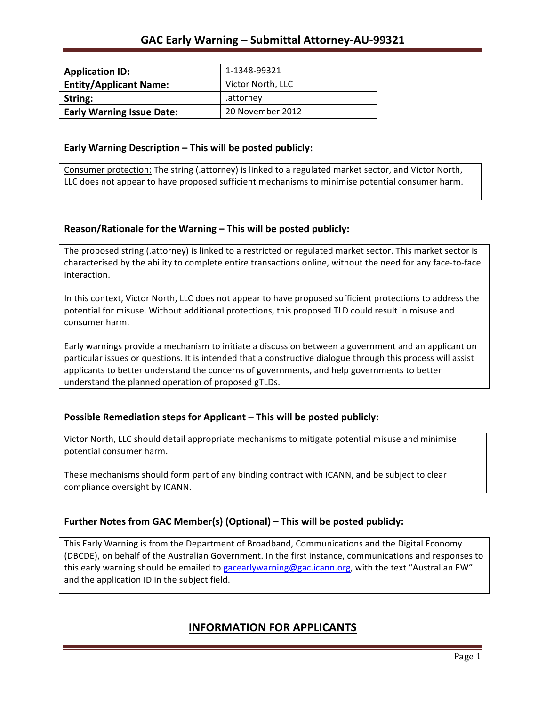| <b>Application ID:</b>           | 1-1348-99321      |
|----------------------------------|-------------------|
| <b>Entity/Applicant Name:</b>    | Victor North, LLC |
| String:                          | .attornev         |
| <b>Early Warning Issue Date:</b> | 20 November 2012  |

### **Early Warning Description – This will be posted publicly:**

Consumer protection: The string (.attorney) is linked to a regulated market sector, and Victor North, LLC does not appear to have proposed sufficient mechanisms to minimise potential consumer harm.

## **Reason/Rationale for the Warning – This will be posted publicly:**

The proposed string (.attorney) is linked to a restricted or regulated market sector. This market sector is characterised by the ability to complete entire transactions online, without the need for any face-to-face interaction.

In this context, Victor North, LLC does not appear to have proposed sufficient protections to address the potential for misuse. Without additional protections, this proposed TLD could result in misuse and consumer harm.

Early warnings provide a mechanism to initiate a discussion between a government and an applicant on particular issues or questions. It is intended that a constructive dialogue through this process will assist applicants to better understand the concerns of governments, and help governments to better understand the planned operation of proposed gTLDs.

## **Possible Remediation steps for Applicant – This will be posted publicly:**

Victor North, LLC should detail appropriate mechanisms to mitigate potential misuse and minimise potential consumer harm.

These mechanisms should form part of any binding contract with ICANN, and be subject to clear compliance oversight by ICANN.

## **Further Notes from GAC Member(s) (Optional)** – This will be posted publicly:

This Early Warning is from the Department of Broadband, Communications and the Digital Economy (DBCDE), on behalf of the Australian Government. In the first instance, communications and responses to this early warning should be emailed to gacearlywarning@gac.icann.org, with the text "Australian EW" and the application ID in the subject field.

## **INFORMATION FOR APPLICANTS**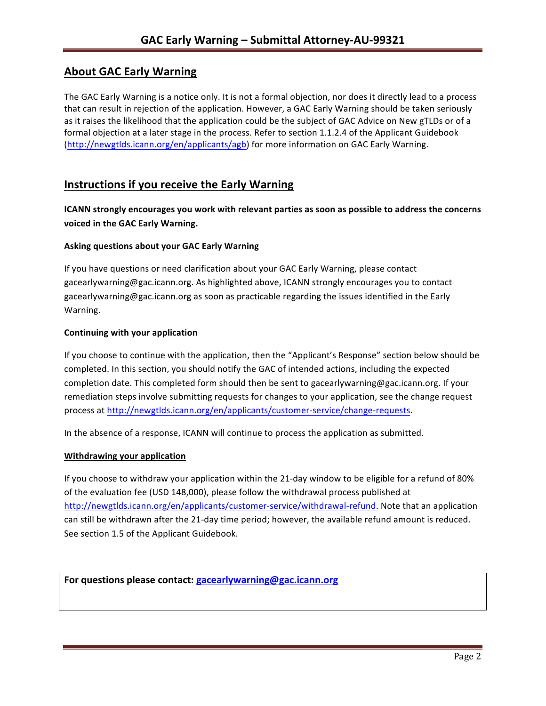# **About GAC Early Warning**

The GAC Early Warning is a notice only. It is not a formal objection, nor does it directly lead to a process that can result in rejection of the application. However, a GAC Early Warning should be taken seriously as it raises the likelihood that the application could be the subject of GAC Advice on New gTLDs or of a formal objection at a later stage in the process. Refer to section 1.1.2.4 of the Applicant Guidebook (http://newgtlds.icann.org/en/applicants/agb) for more information on GAC Early Warning.

## **Instructions if you receive the Early Warning**

**ICANN** strongly encourages you work with relevant parties as soon as possible to address the concerns **voiced in the GAC Early Warning.** 

### **Asking questions about your GAC Early Warning**

If you have questions or need clarification about your GAC Early Warning, please contact gacearlywarning@gac.icann.org. As highlighted above, ICANN strongly encourages you to contact gacearlywarning@gac.icann.org as soon as practicable regarding the issues identified in the Early Warning. 

#### **Continuing with your application**

If you choose to continue with the application, then the "Applicant's Response" section below should be completed. In this section, you should notify the GAC of intended actions, including the expected completion date. This completed form should then be sent to gacearlywarning@gac.icann.org. If your remediation steps involve submitting requests for changes to your application, see the change request process at http://newgtlds.icann.org/en/applicants/customer-service/change-requests.

In the absence of a response, ICANN will continue to process the application as submitted.

#### **Withdrawing your application**

If you choose to withdraw your application within the 21-day window to be eligible for a refund of 80% of the evaluation fee (USD 148,000), please follow the withdrawal process published at http://newgtlds.icann.org/en/applicants/customer-service/withdrawal-refund. Note that an application can still be withdrawn after the 21-day time period; however, the available refund amount is reduced. See section 1.5 of the Applicant Guidebook.

```
For questions please contact: gacearlywarning@gac.icann.org
```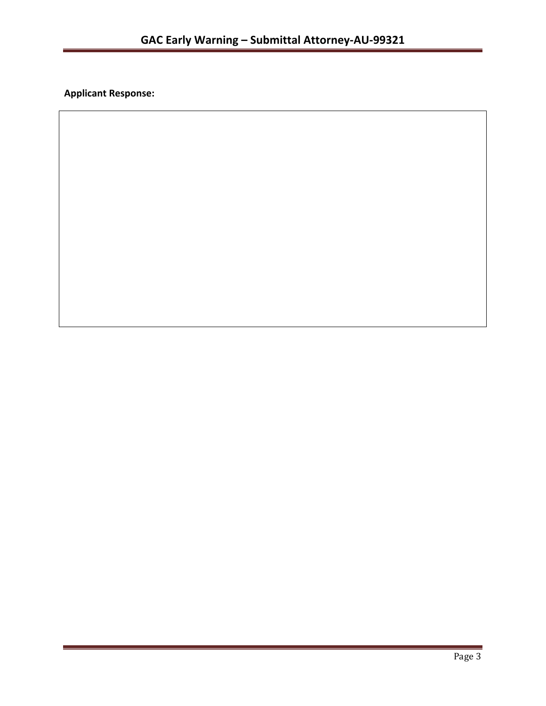**Applicant Response:**